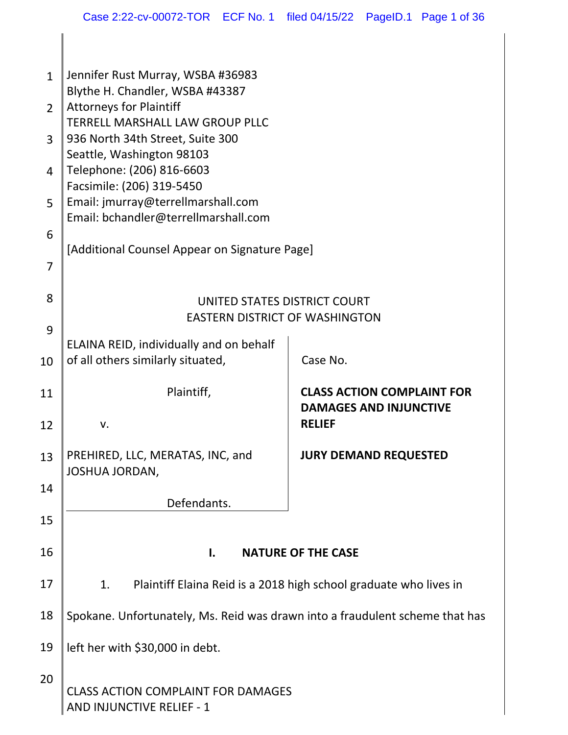| $\mathbf{1}$   | Jennifer Rust Murray, WSBA #36983<br>Blythe H. Chandler, WSBA #43387         |                                                                    |
|----------------|------------------------------------------------------------------------------|--------------------------------------------------------------------|
| $\overline{2}$ | <b>Attorneys for Plaintiff</b><br><b>TERRELL MARSHALL LAW GROUP PLLC</b>     |                                                                    |
| 3              | 936 North 34th Street, Suite 300<br>Seattle, Washington 98103                |                                                                    |
| 4              | Telephone: (206) 816-6603<br>Facsimile: (206) 319-5450                       |                                                                    |
| 5              | Email: jmurray@terrellmarshall.com<br>Email: bchandler@terrellmarshall.com   |                                                                    |
| 6              | [Additional Counsel Appear on Signature Page]                                |                                                                    |
| 7              |                                                                              |                                                                    |
| 8              | UNITED STATES DISTRICT COURT                                                 |                                                                    |
| 9              | <b>EASTERN DISTRICT OF WASHINGTON</b>                                        |                                                                    |
| 10             | ELAINA REID, individually and on behalf<br>of all others similarly situated, | Case No.                                                           |
| 11             | Plaintiff,                                                                   | <b>CLASS ACTION COMPLAINT FOR</b><br><b>DAMAGES AND INJUNCTIVE</b> |
| 12             | v.                                                                           | <b>RELIEF</b>                                                      |
| 13             | PREHIRED, LLC, MERATAS, INC, and<br>JOSHUA JORDAN,                           | <b>JURY DEMAND REQUESTED</b>                                       |
| 14             | Defendants.                                                                  |                                                                    |
| 15             |                                                                              |                                                                    |
| 16             | I.                                                                           | <b>NATURE OF THE CASE</b>                                          |
| 17             | 1.                                                                           | Plaintiff Elaina Reid is a 2018 high school graduate who lives in  |
| 18             | Spokane. Unfortunately, Ms. Reid was drawn into a fraudulent scheme that has |                                                                    |
| 19             | left her with \$30,000 in debt.                                              |                                                                    |
| 20             | <b>CLASS ACTION COMPLAINT FOR DAMAGES</b><br>AND INJUNCTIVE RELIEF - 1       |                                                                    |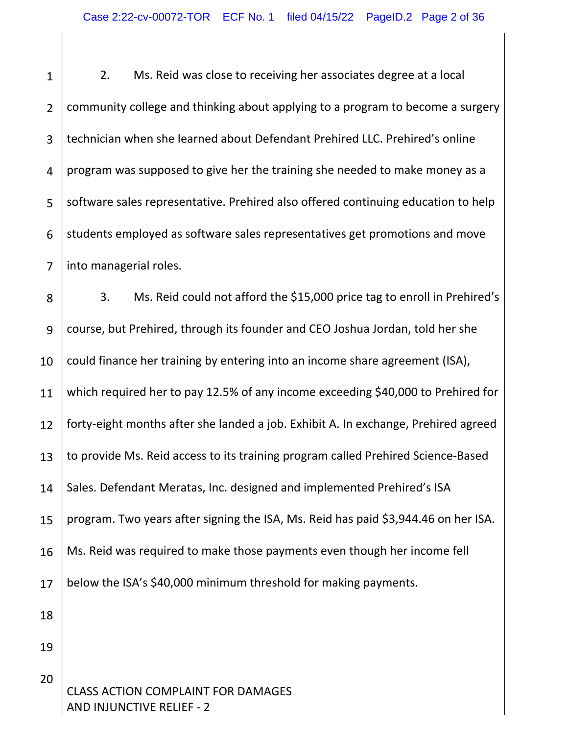1

2 3 4 5 6 7 2. Ms. Reid was close to receiving her associates degree at a local community college and thinking about applying to a program to become a surgery technician when she learned about Defendant Prehired LLC. Prehired's online program was supposed to give her the training she needed to make money as a software sales representative. Prehired also offered continuing education to help students employed as software sales representatives get promotions and move into managerial roles.

8 9 10 11 12 13 14 15 16 17 18 19 20 3. Ms. Reid could not afford the \$15,000 price tag to enroll in Prehired's course, but Prehired, through its founder and CEO Joshua Jordan, told her she could finance her training by entering into an income share agreement (ISA), which required her to pay 12.5% of any income exceeding \$40,000 to Prehired for forty-eight months after she landed a job. Exhibit A. In exchange, Prehired agreed to provide Ms. Reid access to its training program called Prehired Science‐Based Sales. Defendant Meratas, Inc. designed and implemented Prehired's ISA program. Two years after signing the ISA, Ms. Reid has paid \$3,944.46 on her ISA. Ms. Reid was required to make those payments even though her income fell below the ISA's \$40,000 minimum threshold for making payments.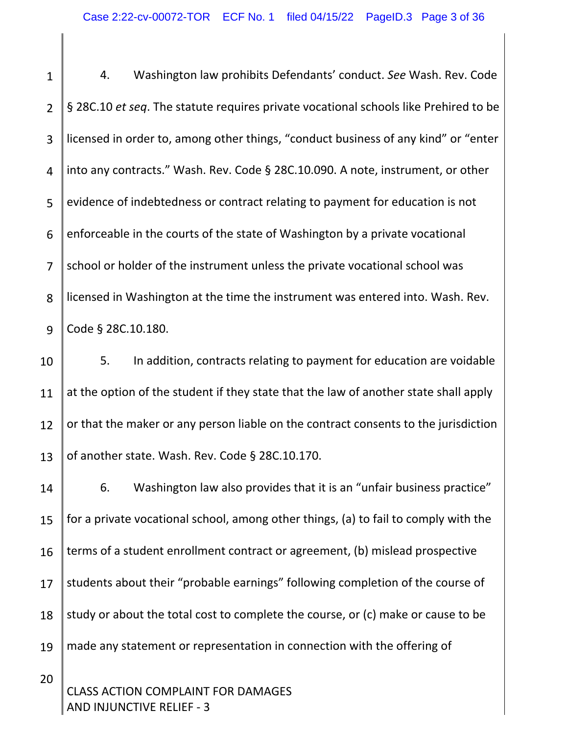1 2 3 4 5 6 7 8 9 4. Washington law prohibits Defendants' conduct. *See* Wash. Rev. Code § 28C.10 *et seq*. The statute requires private vocational schools like Prehired to be licensed in order to, among other things, "conduct business of any kind" or "enter into any contracts." Wash. Rev. Code § 28C.10.090. A note, instrument, or other evidence of indebtedness or contract relating to payment for education is not enforceable in the courts of the state of Washington by a private vocational school or holder of the instrument unless the private vocational school was licensed in Washington at the time the instrument was entered into. Wash. Rev. Code § 28C.10.180.

10 11 12 13 5. In addition, contracts relating to payment for education are voidable at the option of the student if they state that the law of another state shall apply or that the maker or any person liable on the contract consents to the jurisdiction of another state. Wash. Rev. Code § 28C.10.170.

CLASS ACTION COMPLAINT FOR DAMAGES 14 15 16 17 18 19 20 6. Washington law also provides that it is an "unfair business practice" for a private vocational school, among other things, (a) to fail to comply with the terms of a student enrollment contract or agreement, (b) mislead prospective students about their "probable earnings" following completion of the course of study or about the total cost to complete the course, or (c) make or cause to be made any statement or representation in connection with the offering of

AND INJUNCTIVE RELIEF ‐ 3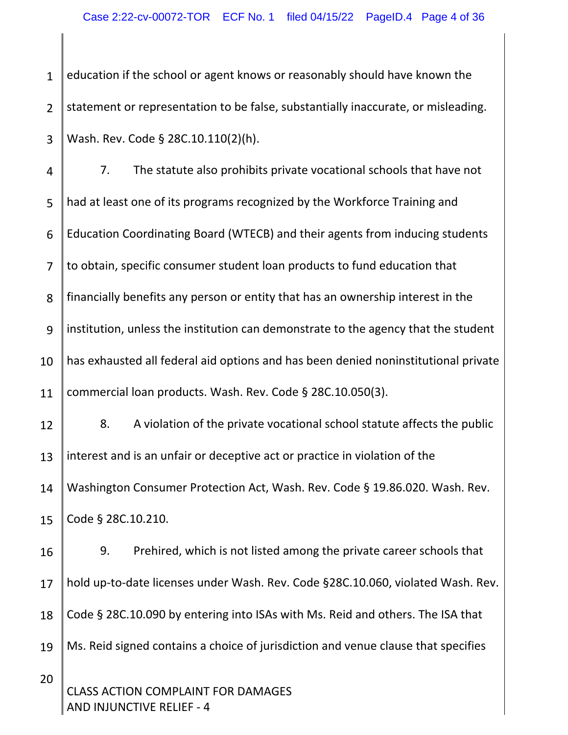1 2 3 education if the school or agent knows or reasonably should have known the statement or representation to be false, substantially inaccurate, or misleading. Wash. Rev. Code § 28C.10.110(2)(h).

4 5 6 7 8 9 10 11 12 13 14 7. The statute also prohibits private vocational schools that have not had at least one of its programs recognized by the Workforce Training and Education Coordinating Board (WTECB) and their agents from inducing students to obtain, specific consumer student loan products to fund education that financially benefits any person or entity that has an ownership interest in the institution, unless the institution can demonstrate to the agency that the student has exhausted all federal aid options and has been denied noninstitutional private commercial loan products. Wash. Rev. Code § 28C.10.050(3). 8. A violation of the private vocational school statute affects the public interest and is an unfair or deceptive act or practice in violation of the Washington Consumer Protection Act, Wash. Rev. Code § 19.86.020. Wash. Rev.

15 Code § 28C.10.210.

CLASS ACTION COMPLAINT FOR DAMAGES 16 17 18 19 20 9. Prehired, which is not listed among the private career schools that hold up-to-date licenses under Wash. Rev. Code §28C.10.060, violated Wash. Rev. Code § 28C.10.090 by entering into ISAs with Ms. Reid and others. The ISA that Ms. Reid signed contains a choice of jurisdiction and venue clause that specifies

AND INJUNCTIVE RELIEF ‐ 4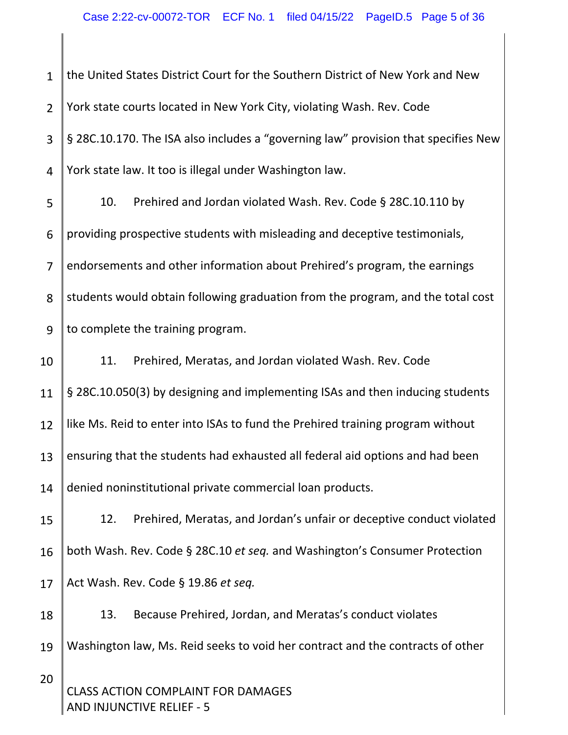CLASS ACTION COMPLAINT FOR DAMAGES AND INJUNCTIVE RELIEF ‐ 5 1 2 3 4 5 6 7 8 9 10 11 12 13 14 15 16 17 18 19 20 the United States District Court for the Southern District of New York and New York state courts located in New York City, violating Wash. Rev. Code § 28C.10.170. The ISA also includes a "governing law" provision that specifies New York state law. It too is illegal under Washington law. 10. Prehired and Jordan violated Wash. Rev. Code § 28C.10.110 by providing prospective students with misleading and deceptive testimonials, endorsements and other information about Prehired's program, the earnings students would obtain following graduation from the program, and the total cost to complete the training program. 11. Prehired, Meratas, and Jordan violated Wash. Rev. Code § 28C.10.050(3) by designing and implementing ISAs and then inducing students like Ms. Reid to enter into ISAs to fund the Prehired training program without ensuring that the students had exhausted all federal aid options and had been denied noninstitutional private commercial loan products. 12. Prehired, Meratas, and Jordan's unfair or deceptive conduct violated both Wash. Rev. Code § 28C.10 *et seq.* and Washington's Consumer Protection Act Wash. Rev. Code § 19.86 *et seq.* 13. Because Prehired, Jordan, and Meratas's conduct violates Washington law, Ms. Reid seeks to void her contract and the contracts of other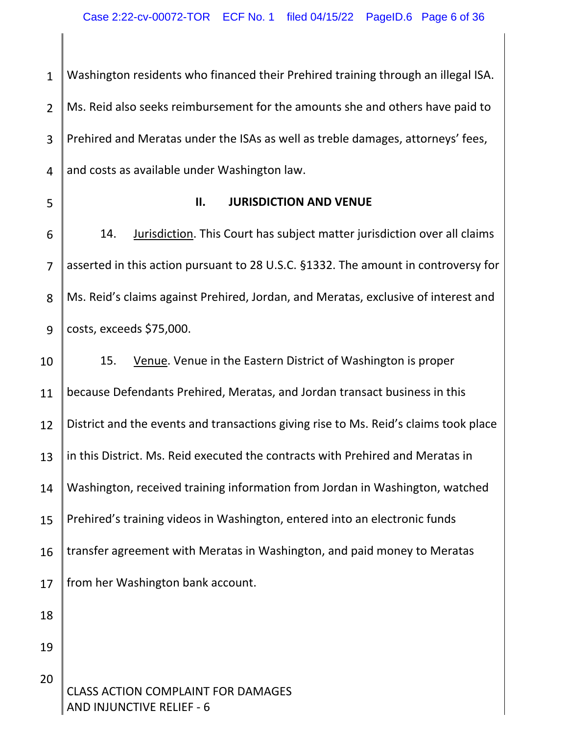1 2 3 4 5 Washington residents who financed their Prehired training through an illegal ISA. Ms. Reid also seeks reimbursement for the amounts she and others have paid to Prehired and Meratas under the ISAs as well as treble damages, attorneys' fees, and costs as available under Washington law. **II. JURISDICTION AND VENUE**

6 7 8 9 14. Jurisdiction. This Court has subject matter jurisdiction over all claims asserted in this action pursuant to 28 U.S.C. §1332. The amount in controversy for Ms. Reid's claims against Prehired, Jordan, and Meratas, exclusive of interest and costs, exceeds \$75,000.

10 11 12 13 14 15 16 17 18 19 20 15. Venue. Venue in the Eastern District of Washington is proper because Defendants Prehired, Meratas, and Jordan transact business in this District and the events and transactions giving rise to Ms. Reid's claims took place in this District. Ms. Reid executed the contracts with Prehired and Meratas in Washington, received training information from Jordan in Washington, watched Prehired's training videos in Washington, entered into an electronic funds transfer agreement with Meratas in Washington, and paid money to Meratas from her Washington bank account.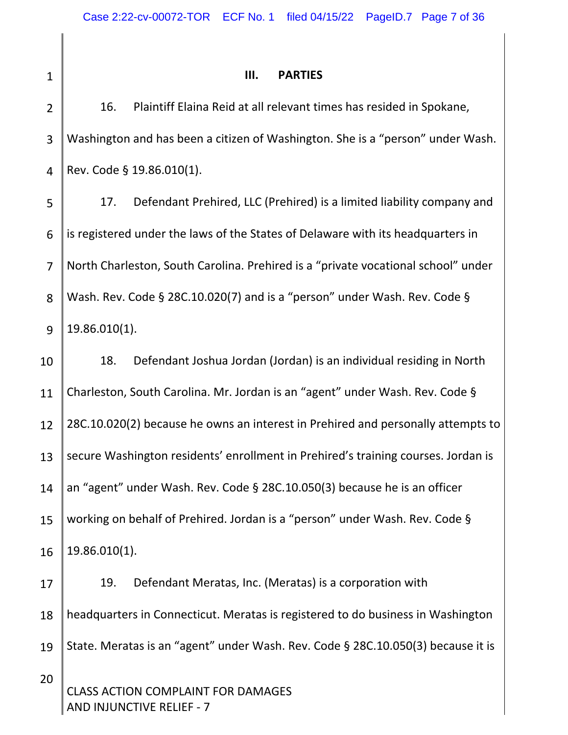| $\mathbf{1}$   | III.<br><b>PARTIES</b>                                                            |
|----------------|-----------------------------------------------------------------------------------|
| $\overline{2}$ | 16.<br>Plaintiff Elaina Reid at all relevant times has resided in Spokane,        |
| 3              | Washington and has been a citizen of Washington. She is a "person" under Wash.    |
| $\overline{4}$ | Rev. Code § 19.86.010(1).                                                         |
| 5              | Defendant Prehired, LLC (Prehired) is a limited liability company and<br>17.      |
| 6              | is registered under the laws of the States of Delaware with its headquarters in   |
| $\overline{7}$ | North Charleston, South Carolina. Prehired is a "private vocational school" under |
| 8              | Wash. Rev. Code § 28C.10.020(7) and is a "person" under Wash. Rev. Code §         |
| 9              | 19.86.010(1).                                                                     |
| 10             | Defendant Joshua Jordan (Jordan) is an individual residing in North<br>18.        |
| 11             | Charleston, South Carolina. Mr. Jordan is an "agent" under Wash. Rev. Code §      |
| 12             | 28C.10.020(2) because he owns an interest in Prehired and personally attempts to  |
| 13             | secure Washington residents' enrollment in Prehired's training courses. Jordan is |
| 14             | an "agent" under Wash. Rev. Code § 28C.10.050(3) because he is an officer         |
| 15             | working on behalf of Prehired. Jordan is a "person" under Wash. Rev. Code §       |
| 16             | 19.86.010(1).                                                                     |
| 17             | Defendant Meratas, Inc. (Meratas) is a corporation with<br>19.                    |
| 18             | headquarters in Connecticut. Meratas is registered to do business in Washington   |
| 19             | State. Meratas is an "agent" under Wash. Rev. Code § 28C.10.050(3) because it is  |
| 20             | <b>CLASS ACTION COMPLAINT FOR DAMAGES</b><br>AND INJUNCTIVE RELIEF - 7            |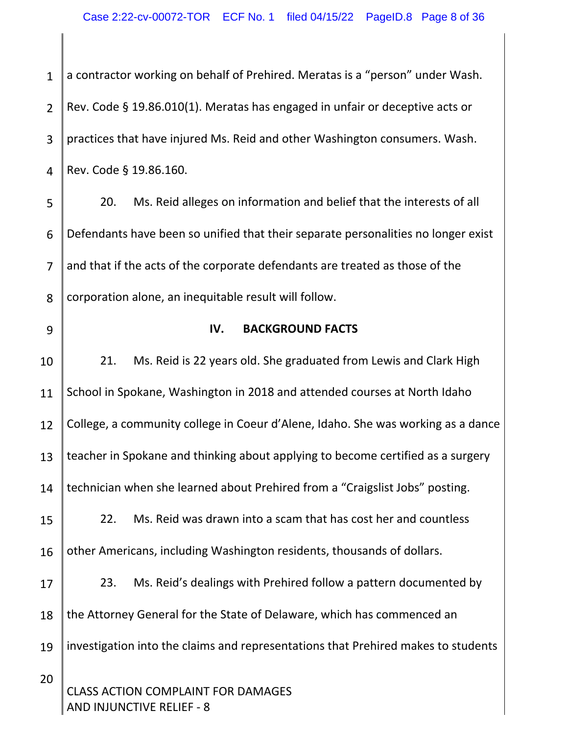CLASS ACTION COMPLAINT FOR DAMAGES AND INJUNCTIVE RELIEF ‐ 8 1 2 3 4 5 6 7 8 9 10 11 12 13 14 15 16 17 18 19 20 a contractor working on behalf of Prehired. Meratas is a "person" under Wash. Rev. Code § 19.86.010(1). Meratas has engaged in unfair or deceptive acts or practices that have injured Ms. Reid and other Washington consumers. Wash. Rev. Code § 19.86.160. 20. Ms. Reid alleges on information and belief that the interests of all Defendants have been so unified that their separate personalities no longer exist and that if the acts of the corporate defendants are treated as those of the corporation alone, an inequitable result will follow. **IV. BACKGROUND FACTS** 21. Ms. Reid is 22 years old. She graduated from Lewis and Clark High School in Spokane, Washington in 2018 and attended courses at North Idaho College, a community college in Coeur d'Alene, Idaho. She was working as a dance teacher in Spokane and thinking about applying to become certified as a surgery technician when she learned about Prehired from a "Craigslist Jobs" posting. 22. Ms. Reid was drawn into a scam that has cost her and countless other Americans, including Washington residents, thousands of dollars. 23. Ms. Reid's dealings with Prehired follow a pattern documented by the Attorney General for the State of Delaware, which has commenced an investigation into the claims and representations that Prehired makes to students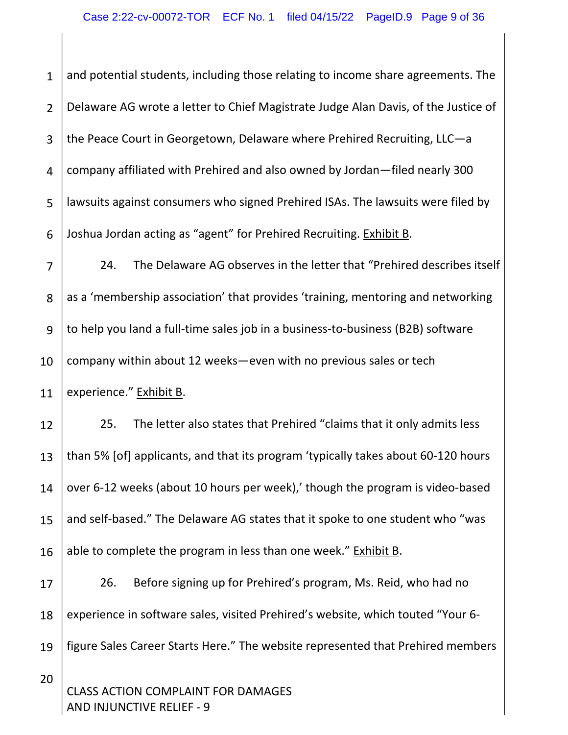CLASS ACTION COMPLAINT FOR DAMAGES AND INJUNCTIVE RELIEF ‐ 9 1 2 3 4 5 6 7 8 9 10 11 12 13 14 15 16 17 18 19 20 and potential students, including those relating to income share agreements. The Delaware AG wrote a letter to Chief Magistrate Judge Alan Davis, of the Justice of the Peace Court in Georgetown, Delaware where Prehired Recruiting, LLC—a company affiliated with Prehired and also owned by Jordan—filed nearly 300 lawsuits against consumers who signed Prehired ISAs. The lawsuits were filed by Joshua Jordan acting as "agent" for Prehired Recruiting. Exhibit B. 24. The Delaware AG observes in the letter that "Prehired describes itself as a 'membership association' that provides 'training, mentoring and networking to help you land a full‐time sales job in a business‐to‐business (B2B) software company within about 12 weeks—even with no previous sales or tech experience." Exhibit B. 25. The letter also states that Prehired "claims that it only admits less than 5% [of] applicants, and that its program 'typically takes about 60‐120 hours over 6‐12 weeks (about 10 hours per week),' though the program is video‐based and self‐based." The Delaware AG states that it spoke to one student who "was able to complete the program in less than one week." Exhibit B. 26. Before signing up for Prehired's program, Ms. Reid, who had no experience in software sales, visited Prehired's website, which touted "Your 6‐ figure Sales Career Starts Here." The website represented that Prehired members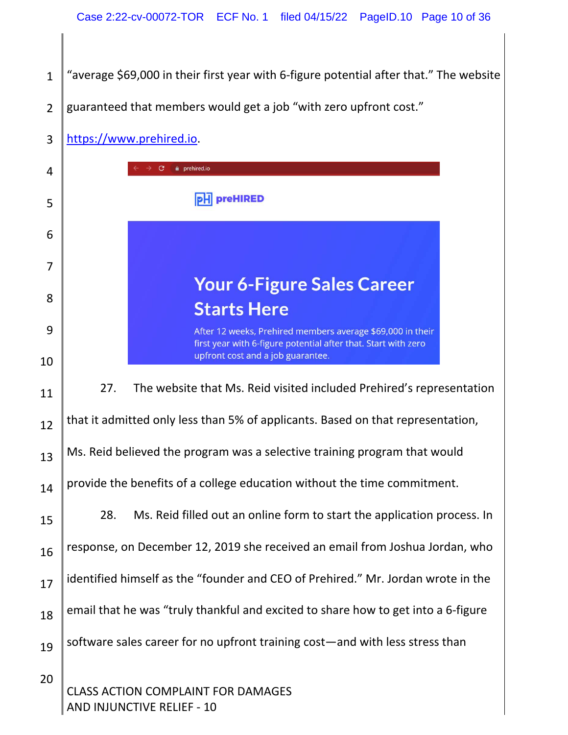"average \$69,000 in their first year with 6‐figure potential after that." The website 1 guaranteed that members would get a job "with zero upfront cost." 2 https://www.prehired.io. 3  $\mathbf{C}$ **a** prehired.io 4 **PH** preHIRED 5 6 7 **Your 6-Figure Sales Career** 8 **Starts Here** 9 After 12 weeks, Prehired members average \$69,000 in their first year with 6-figure potential after that. Start with zero upfront cost and a job guarantee. 10 27. The website that Ms. Reid visited included Prehired's representation 11 that it admitted only less than 5% of applicants. Based on that representation, 12 Ms. Reid believed the program was a selective training program that would 13 provide the benefits of a college education without the time commitment. 14 28. Ms. Reid filled out an online form to start the application process. In 15 response, on December 12, 2019 she received an email from Joshua Jordan, who 16 identified himself as the "founder and CEO of Prehired." Mr. Jordan wrote in the 17 email that he was "truly thankful and excited to share how to get into a 6‐figure 18 software sales career for no upfront training cost—and with less stress than 19 20 CLASS ACTION COMPLAINT FOR DAMAGES AND INJUNCTIVE RELIEF ‐ 10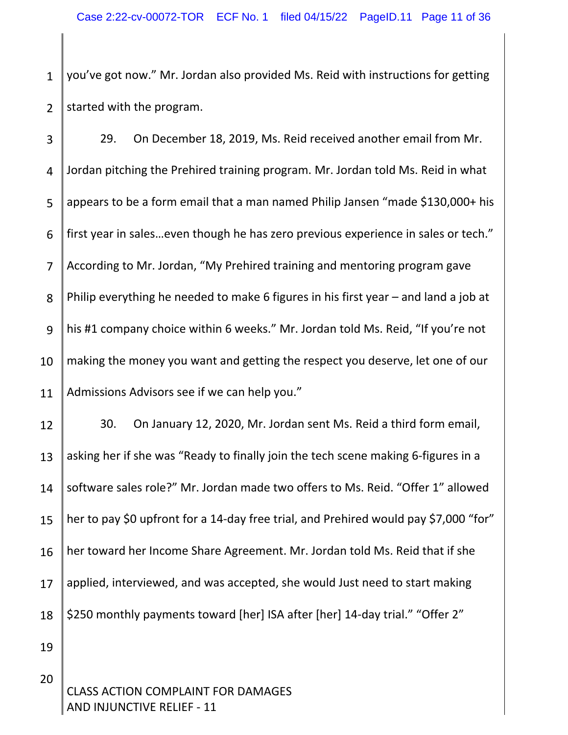1 2 you've got now." Mr. Jordan also provided Ms. Reid with instructions for getting started with the program.

3 4 5 6 7 8 9 10 11 29. On December 18, 2019, Ms. Reid received another email from Mr. Jordan pitching the Prehired training program. Mr. Jordan told Ms. Reid in what appears to be a form email that a man named Philip Jansen "made \$130,000+ his first year in sales…even though he has zero previous experience in sales or tech." According to Mr. Jordan, "My Prehired training and mentoring program gave Philip everything he needed to make 6 figures in his first year – and land a job at his #1 company choice within 6 weeks." Mr. Jordan told Ms. Reid, "If you're not making the money you want and getting the respect you deserve, let one of our Admissions Advisors see if we can help you."

12 13 14 15 16 17 18 30. On January 12, 2020, Mr. Jordan sent Ms. Reid a third form email, asking her if she was "Ready to finally join the tech scene making 6‐figures in a software sales role?" Mr. Jordan made two offers to Ms. Reid. "Offer 1" allowed her to pay \$0 upfront for a 14-day free trial, and Prehired would pay \$7,000 "for" her toward her Income Share Agreement. Mr. Jordan told Ms. Reid that if she applied, interviewed, and was accepted, she would Just need to start making \$250 monthly payments toward [her] ISA after [her] 14-day trial." "Offer 2"

CLASS ACTION COMPLAINT FOR DAMAGES AND INJUNCTIVE RELIEF ‐ 11

19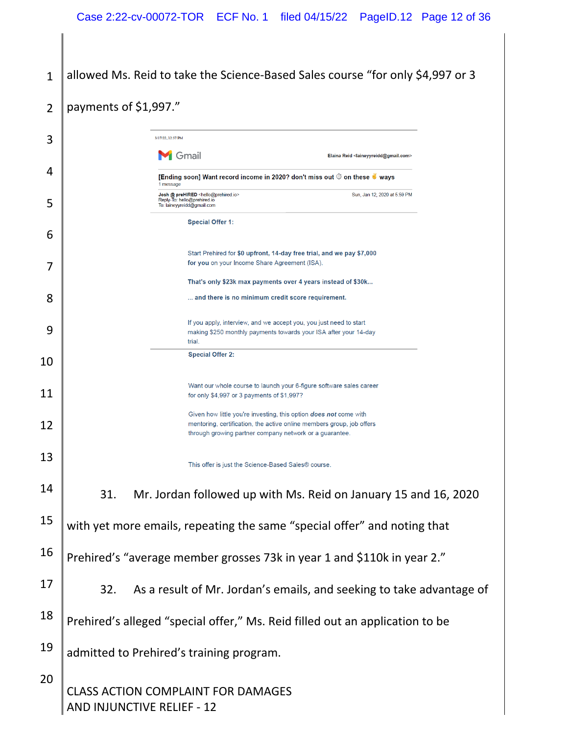| 1              | allowed Ms. Reid to take the Science-Based Sales course "for only \$4,997 or 3                                                                                                                        |
|----------------|-------------------------------------------------------------------------------------------------------------------------------------------------------------------------------------------------------|
| $\overline{2}$ | payments of \$1,997."                                                                                                                                                                                 |
| 3              | 3/17/22, 12:57 PM                                                                                                                                                                                     |
| 4              | Gmail<br>Elaina Reid <laineyyreidd@gmail.com><br/>[Ending soon] Want record income in 2020? don't miss out © on these ↓ ways</laineyyreidd@gmail.com>                                                 |
|                | 1 message<br>Sun, Jan 12, 2020 at 5:59 PM<br>Josh @ preHIRED <hello@prehired.io><br/>Reply-To: hello@prehired.io</hello@prehired.io>                                                                  |
| 5              | To: laineyyreidd@gmail.com<br><b>Special Offer 1:</b>                                                                                                                                                 |
| 6              |                                                                                                                                                                                                       |
|                | Start Prehired for \$0 upfront, 14-day free trial, and we pay \$7,000<br>for you on your Income Share Agreement (ISA).                                                                                |
|                | That's only \$23k max payments over 4 years instead of \$30k                                                                                                                                          |
| 8              | and there is no minimum credit score requirement.                                                                                                                                                     |
| 9              | If you apply, interview, and we accept you, you just need to start<br>making \$250 monthly payments towards your ISA after your 14-day<br>trial.                                                      |
| 10             | <b>Special Offer 2:</b>                                                                                                                                                                               |
| 11             | Want our whole course to launch your 6-figure software sales career<br>for only $$4,997$ or 3 payments of $$1,997$ ?                                                                                  |
| 12             | Given how little you're investing, this option does not come with<br>mentoring, certification, the active online members group, job offers<br>through growing partner company network or a guarantee. |
| 13             | This offer is just the Science-Based Sales® course.                                                                                                                                                   |
| 14             | Mr. Jordan followed up with Ms. Reid on January 15 and 16, 2020<br>31.                                                                                                                                |
| 15             | with yet more emails, repeating the same "special offer" and noting that                                                                                                                              |
| 16             | Prehired's "average member grosses 73k in year 1 and \$110k in year 2."                                                                                                                               |
| 17             | 32.<br>As a result of Mr. Jordan's emails, and seeking to take advantage of                                                                                                                           |
| 18             | Prehired's alleged "special offer," Ms. Reid filled out an application to be                                                                                                                          |
| 19             | admitted to Prehired's training program.                                                                                                                                                              |
| 20             | <b>CLASS ACTION COMPLAINT FOR DAMAGES</b><br>AND INJUNCTIVE RELIEF - 12                                                                                                                               |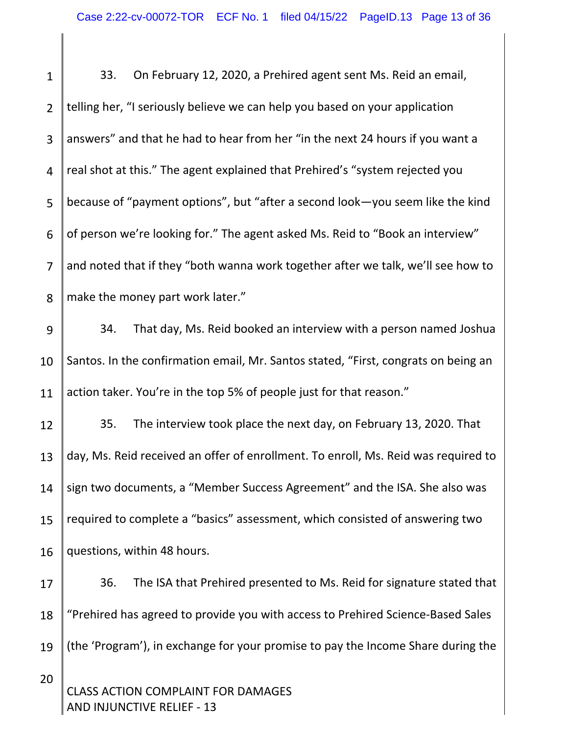CLASS ACTION COMPLAINT FOR DAMAGES AND INJUNCTIVE RELIEF ‐ 13 1 2 3 4 5 6 7 8 9 10 11 12 13 14 15 16 17 18 19 20 33. On February 12, 2020, a Prehired agent sent Ms. Reid an email, telling her, "I seriously believe we can help you based on your application answers" and that he had to hear from her "in the next 24 hours if you want a real shot at this." The agent explained that Prehired's "system rejected you because of "payment options", but "after a second look—you seem like the kind of person we're looking for." The agent asked Ms. Reid to "Book an interview" and noted that if they "both wanna work together after we talk, we'll see how to make the money part work later." 34. That day, Ms. Reid booked an interview with a person named Joshua Santos. In the confirmation email, Mr. Santos stated, "First, congrats on being an action taker. You're in the top 5% of people just for that reason." 35. The interview took place the next day, on February 13, 2020. That day, Ms. Reid received an offer of enrollment. To enroll, Ms. Reid was required to sign two documents, a "Member Success Agreement" and the ISA. She also was required to complete a "basics" assessment, which consisted of answering two questions, within 48 hours. 36. The ISA that Prehired presented to Ms. Reid for signature stated that "Prehired has agreed to provide you with access to Prehired Science‐Based Sales (the 'Program'), in exchange for your promise to pay the Income Share during the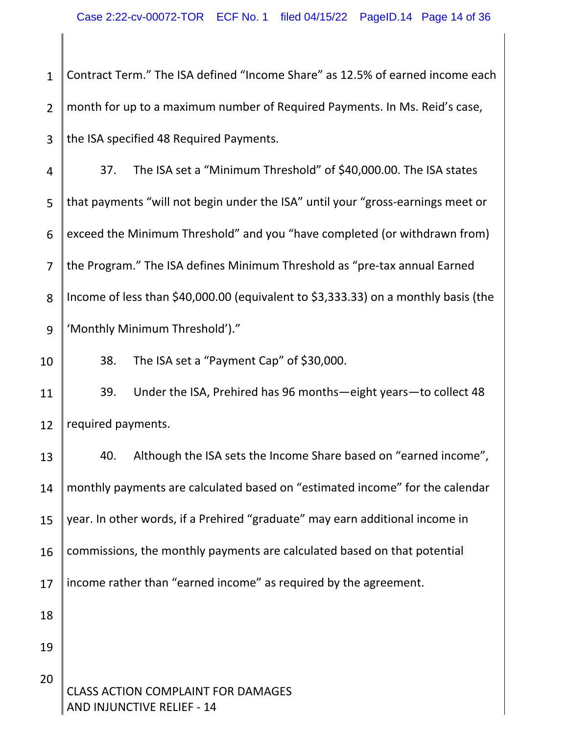1 2 3 Contract Term." The ISA defined "Income Share" as 12.5% of earned income each month for up to a maximum number of Required Payments. In Ms. Reid's case, the ISA specified 48 Required Payments.

4 5 6 7 8 9 37. The ISA set a "Minimum Threshold" of \$40,000.00. The ISA states that payments "will not begin under the ISA" until your "gross‐earnings meet or exceed the Minimum Threshold" and you "have completed (or withdrawn from) the Program." The ISA defines Minimum Threshold as "pre‐tax annual Earned Income of less than \$40,000.00 (equivalent to \$3,333.33) on a monthly basis (the 'Monthly Minimum Threshold')."

10 38. The ISA set a "Payment Cap" of \$30,000.

11 12 39. Under the ISA, Prehired has 96 months—eight years—to collect 48 required payments.

13 14 15 16 17 18 19 40. Although the ISA sets the Income Share based on "earned income", monthly payments are calculated based on "estimated income" for the calendar year. In other words, if a Prehired "graduate" may earn additional income in commissions, the monthly payments are calculated based on that potential income rather than "earned income" as required by the agreement.

## CLASS ACTION COMPLAINT FOR DAMAGES AND INJUNCTIVE RELIEF ‐ 14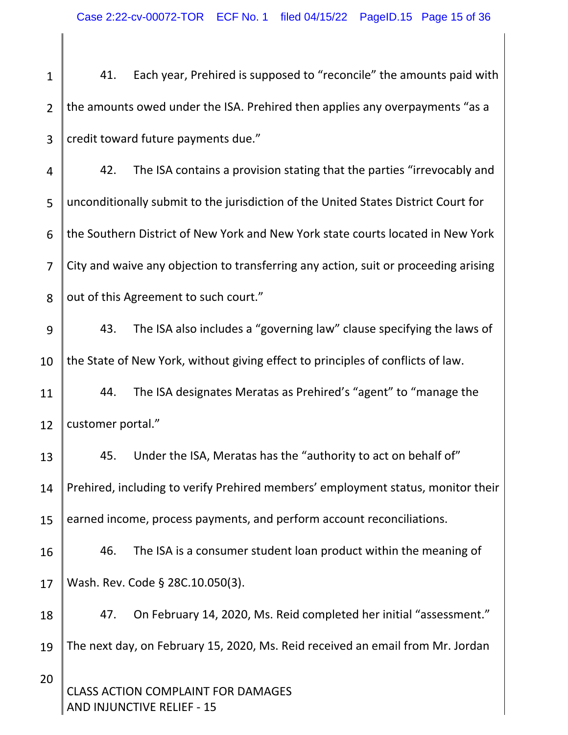1 2 3 41. Each year, Prehired is supposed to "reconcile" the amounts paid with the amounts owed under the ISA. Prehired then applies any overpayments "as a credit toward future payments due."

4 5 6 7 8 42. The ISA contains a provision stating that the parties "irrevocably and unconditionally submit to the jurisdiction of the United States District Court for the Southern District of New York and New York state courts located in New York City and waive any objection to transferring any action, suit or proceeding arising out of this Agreement to such court."

9 10 43. The ISA also includes a "governing law" clause specifying the laws of the State of New York, without giving effect to principles of conflicts of law.

11 12 44. The ISA designates Meratas as Prehired's "agent" to "manage the customer portal."

13 14 15 45. Under the ISA, Meratas has the "authority to act on behalf of" Prehired, including to verify Prehired members' employment status, monitor their earned income, process payments, and perform account reconciliations.

16 17 46. The ISA is a consumer student loan product within the meaning of Wash. Rev. Code § 28C.10.050(3).

18 19 20 47. On February 14, 2020, Ms. Reid completed her initial "assessment." The next day, on February 15, 2020, Ms. Reid received an email from Mr. Jordan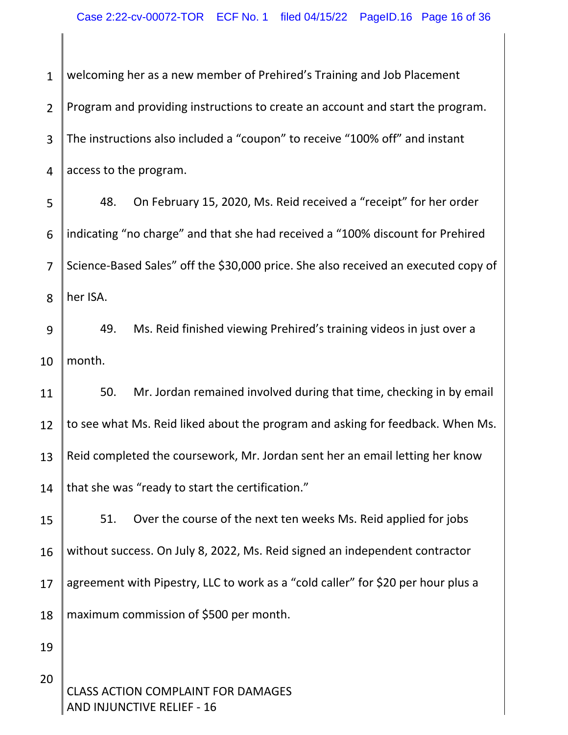1 2 3 4 5 6 7 8 9 10 11 12 13 14 15 16 17 18 welcoming her as a new member of Prehired's Training and Job Placement Program and providing instructions to create an account and start the program. The instructions also included a "coupon" to receive "100% off" and instant access to the program. 48. On February 15, 2020, Ms. Reid received a "receipt" for her order indicating "no charge" and that she had received a "100% discount for Prehired Science‐Based Sales" off the \$30,000 price. She also received an executed copy of her ISA. 49. Ms. Reid finished viewing Prehired's training videos in just over a month. 50. Mr. Jordan remained involved during that time, checking in by email to see what Ms. Reid liked about the program and asking for feedback. When Ms. Reid completed the coursework, Mr. Jordan sent her an email letting her know that she was "ready to start the certification." 51. Over the course of the next ten weeks Ms. Reid applied for jobs without success. On July 8, 2022, Ms. Reid signed an independent contractor agreement with Pipestry, LLC to work as a "cold caller" for \$20 per hour plus a maximum commission of \$500 per month.

19

20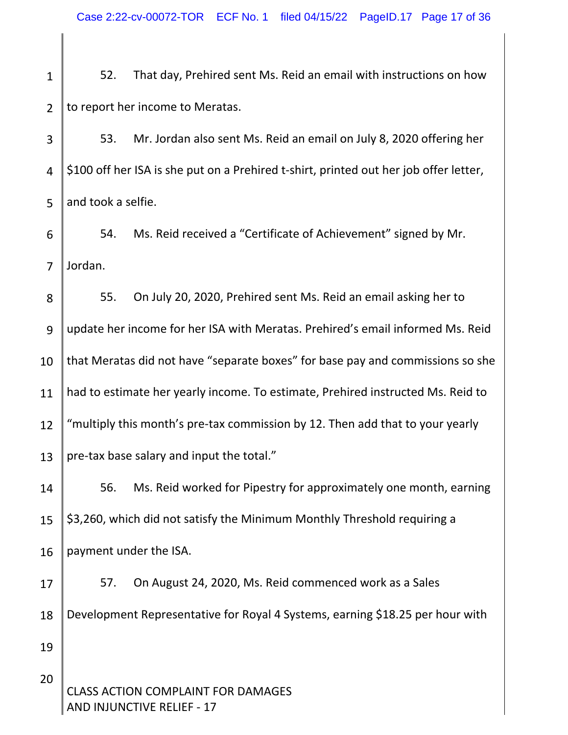1 2 52. That day, Prehired sent Ms. Reid an email with instructions on how to report her income to Meratas.

3 4 5 53. Mr. Jordan also sent Ms. Reid an email on July 8, 2020 offering her \$100 off her ISA is she put on a Prehired t-shirt, printed out her job offer letter, and took a selfie.

6 7 54. Ms. Reid received a "Certificate of Achievement" signed by Mr. Jordan.

8 9 10 11 12 13 55. On July 20, 2020, Prehired sent Ms. Reid an email asking her to update her income for her ISA with Meratas. Prehired's email informed Ms. Reid that Meratas did not have "separate boxes" for base pay and commissions so she had to estimate her yearly income. To estimate, Prehired instructed Ms. Reid to "multiply this month's pre‐tax commission by 12. Then add that to your yearly pre-tax base salary and input the total."

14 15 16 56. Ms. Reid worked for Pipestry for approximately one month, earning \$3,260, which did not satisfy the Minimum Monthly Threshold requiring a payment under the ISA.

17 18 19 57. On August 24, 2020, Ms. Reid commenced work as a Sales Development Representative for Royal 4 Systems, earning \$18.25 per hour with

CLASS ACTION COMPLAINT FOR DAMAGES AND INJUNCTIVE RELIEF ‐ 17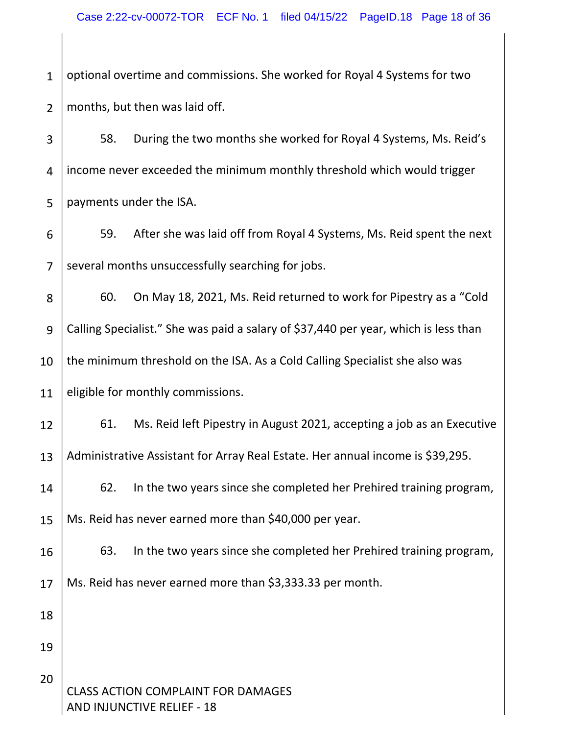1 2 optional overtime and commissions. She worked for Royal 4 Systems for two months, but then was laid off.

3 4 5 58. During the two months she worked for Royal 4 Systems, Ms. Reid's income never exceeded the minimum monthly threshold which would trigger payments under the ISA.

6 7 59. After she was laid off from Royal 4 Systems, Ms. Reid spent the next several months unsuccessfully searching for jobs.

8 9 10 11 60. On May 18, 2021, Ms. Reid returned to work for Pipestry as a "Cold Calling Specialist." She was paid a salary of \$37,440 per year, which is less than the minimum threshold on the ISA. As a Cold Calling Specialist she also was eligible for monthly commissions.

12 13 61. Ms. Reid left Pipestry in August 2021, accepting a job as an Executive Administrative Assistant for Array Real Estate. Her annual income is \$39,295.

14 15 62. In the two years since she completed her Prehired training program, Ms. Reid has never earned more than \$40,000 per year.

16 17 63. In the two years since she completed her Prehired training program, Ms. Reid has never earned more than \$3,333.33 per month.

CLASS ACTION COMPLAINT FOR DAMAGES AND INJUNCTIVE RELIEF ‐ 18 20

18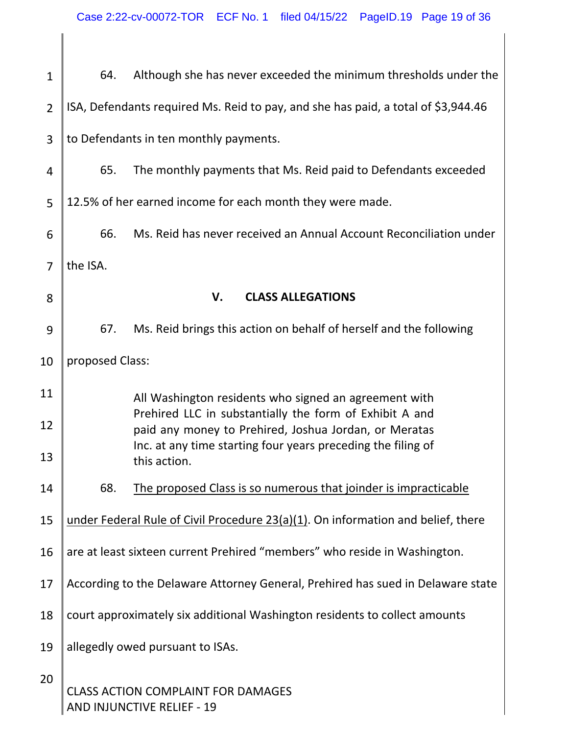| $\mathbf{1}$   | 64.             | Although she has never exceeded the minimum thresholds under the                                                 |
|----------------|-----------------|------------------------------------------------------------------------------------------------------------------|
| $\overline{2}$ |                 | ISA, Defendants required Ms. Reid to pay, and she has paid, a total of \$3,944.46                                |
| 3              |                 | to Defendants in ten monthly payments.                                                                           |
| 4              | 65.             | The monthly payments that Ms. Reid paid to Defendants exceeded                                                   |
| 5              |                 | 12.5% of her earned income for each month they were made.                                                        |
| 6              | 66.             | Ms. Reid has never received an Annual Account Reconciliation under                                               |
| $\overline{7}$ | the ISA.        |                                                                                                                  |
| 8              |                 | V.<br><b>CLASS ALLEGATIONS</b>                                                                                   |
| 9              | 67.             | Ms. Reid brings this action on behalf of herself and the following                                               |
| 10             | proposed Class: |                                                                                                                  |
| 11             |                 | All Washington residents who signed an agreement with                                                            |
| 12             |                 | Prehired LLC in substantially the form of Exhibit A and<br>paid any money to Prehired, Joshua Jordan, or Meratas |
| 13             |                 | Inc. at any time starting four years preceding the filing of<br>this action.                                     |
| 14             | 68.             | The proposed Class is so numerous that joinder is impracticable                                                  |
| 15             |                 | under Federal Rule of Civil Procedure 23(a)(1). On information and belief, there                                 |
| 16             |                 | are at least sixteen current Prehired "members" who reside in Washington.                                        |
| 17             |                 | According to the Delaware Attorney General, Prehired has sued in Delaware state                                  |
| 18             |                 | court approximately six additional Washington residents to collect amounts                                       |
| 19             |                 | allegedly owed pursuant to ISAs.                                                                                 |
| 20             |                 | <b>CLASS ACTION COMPLAINT FOR DAMAGES</b><br>AND INJUNCTIVE RELIEF - 19                                          |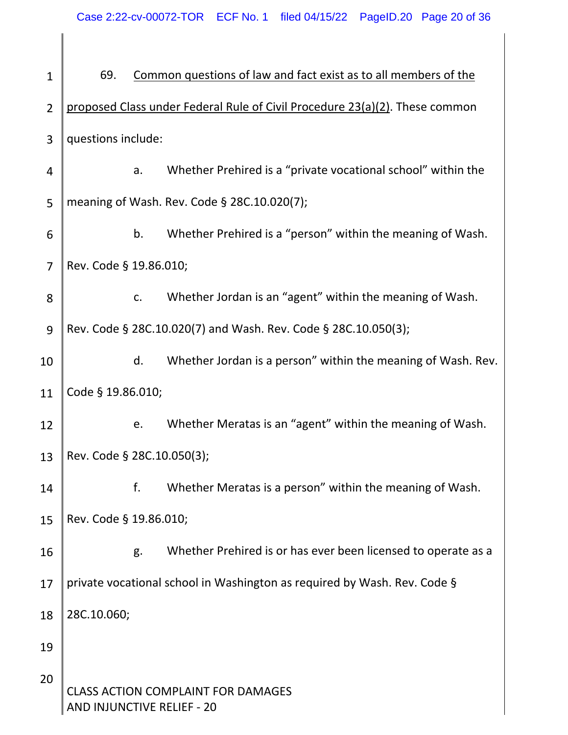CLASS ACTION COMPLAINT FOR DAMAGES AND INJUNCTIVE RELIEF ‐ 20 1 2 3 4 5 6 7 8 9 10 11 12 13 14 15 16 17 18 19 20 69. Common questions of law and fact exist as to all members of the proposed Class under Federal Rule of Civil Procedure 23(a)(2). These common questions include: a. Whether Prehired is a "private vocational school" within the meaning of Wash. Rev. Code § 28C.10.020(7); b. Whether Prehired is a "person" within the meaning of Wash. Rev. Code § 19.86.010; c. Whether Jordan is an "agent" within the meaning of Wash. Rev. Code § 28C.10.020(7) and Wash. Rev. Code § 28C.10.050(3); d. Whether Jordan is a person" within the meaning of Wash. Rev. Code § 19.86.010; e. Whether Meratas is an "agent" within the meaning of Wash. Rev. Code § 28C.10.050(3); f. Whether Meratas is a person" within the meaning of Wash. Rev. Code § 19.86.010; g. Whether Prehired is or has ever been licensed to operate as a private vocational school in Washington as required by Wash. Rev. Code § 28C.10.060;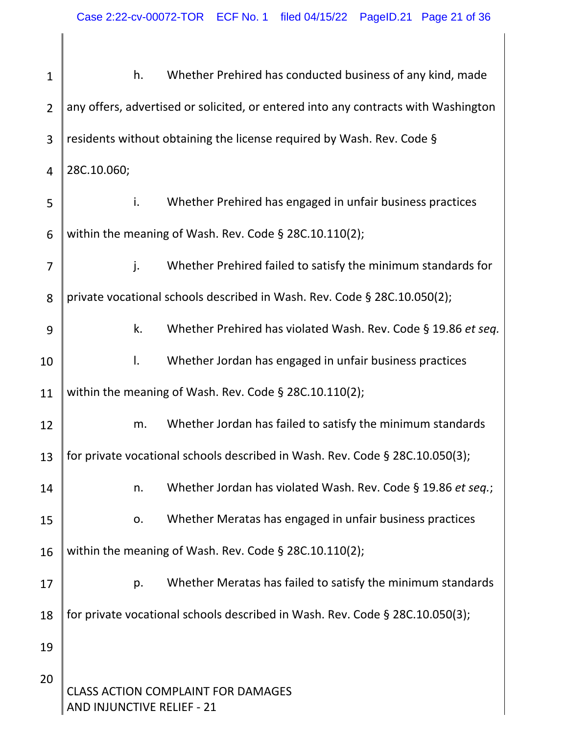| $\mathbf{1}$   | h.                         | Whether Prehired has conducted business of any kind, made                          |
|----------------|----------------------------|------------------------------------------------------------------------------------|
| $\overline{2}$ |                            | any offers, advertised or solicited, or entered into any contracts with Washington |
| 3              |                            | residents without obtaining the license required by Wash. Rev. Code §              |
| $\overline{4}$ | 28C.10.060;                |                                                                                    |
| 5              | i.                         | Whether Prehired has engaged in unfair business practices                          |
| 6              |                            | within the meaning of Wash. Rev. Code § 28C.10.110(2);                             |
| $\overline{7}$ | j.                         | Whether Prehired failed to satisfy the minimum standards for                       |
| 8              |                            | private vocational schools described in Wash. Rev. Code § 28C.10.050(2);           |
| 9              | k.                         | Whether Prehired has violated Wash. Rev. Code § 19.86 et seq.                      |
| 10             | $\mathbf{I}$ .             | Whether Jordan has engaged in unfair business practices                            |
| 11             |                            | within the meaning of Wash. Rev. Code $\S$ 28C.10.110(2);                          |
| 12             | m.                         | Whether Jordan has failed to satisfy the minimum standards                         |
| 13             |                            | for private vocational schools described in Wash. Rev. Code § 28C.10.050(3);       |
| 14             | n.                         | Whether Jordan has violated Wash. Rev. Code § 19.86 et seq.;                       |
| 15             | О.                         | Whether Meratas has engaged in unfair business practices                           |
| 16             |                            | within the meaning of Wash. Rev. Code $\S$ 28C.10.110(2);                          |
| 17             | p.                         | Whether Meratas has failed to satisfy the minimum standards                        |
| 18             |                            | for private vocational schools described in Wash. Rev. Code § 28C.10.050(3);       |
| 19             |                            |                                                                                    |
| 20             | AND INJUNCTIVE RELIEF - 21 | <b>CLASS ACTION COMPLAINT FOR DAMAGES</b>                                          |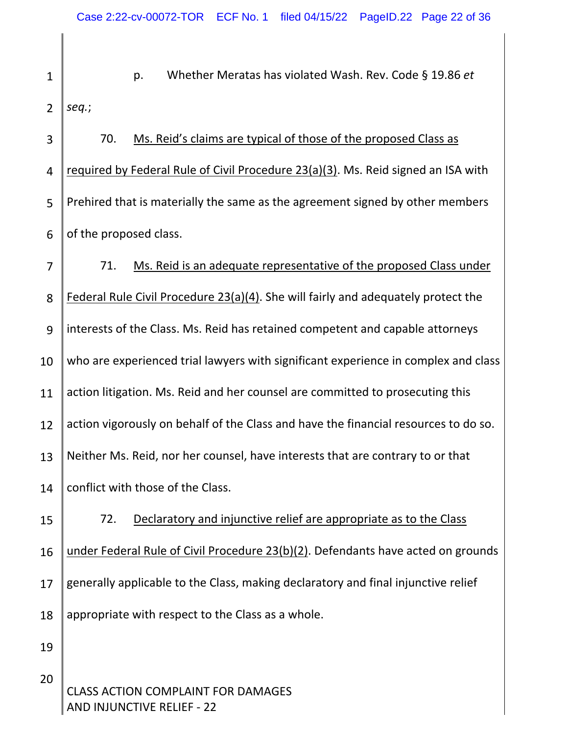1 2 p. Whether Meratas has violated Wash. Rev. Code § 19.86 *et seq.*;

3 4 5 6 70. Ms. Reid's claims are typical of those of the proposed Class as required by Federal Rule of Civil Procedure 23(a)(3). Ms. Reid signed an ISA with Prehired that is materially the same as the agreement signed by other members of the proposed class.

7 8 9 10 11 12 13 14 71. Ms. Reid is an adequate representative of the proposed Class under Federal Rule Civil Procedure 23(a)(4). She will fairly and adequately protect the interests of the Class. Ms. Reid has retained competent and capable attorneys who are experienced trial lawyers with significant experience in complex and class action litigation. Ms. Reid and her counsel are committed to prosecuting this action vigorously on behalf of the Class and have the financial resources to do so. Neither Ms. Reid, nor her counsel, have interests that are contrary to or that conflict with those of the Class.

15 16 17 18 72. Declaratory and injunctive relief are appropriate as to the Class under Federal Rule of Civil Procedure 23(b)(2). Defendants have acted on grounds generally applicable to the Class, making declaratory and final injunctive relief appropriate with respect to the Class as a whole.

19

20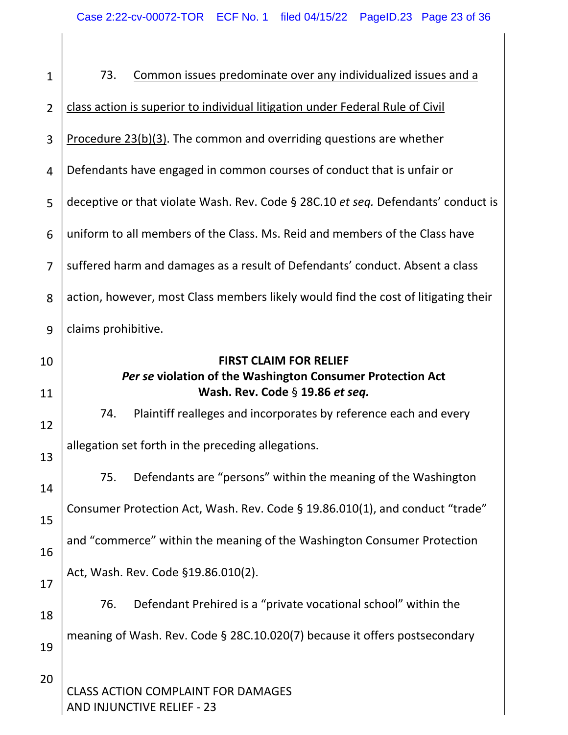| $\mathbf{1}$   | 73.<br>Common issues predominate over any individualized issues and a                       |
|----------------|---------------------------------------------------------------------------------------------|
| $\overline{2}$ | class action is superior to individual litigation under Federal Rule of Civil               |
| 3              | Procedure 23(b)(3). The common and overriding questions are whether                         |
| 4              | Defendants have engaged in common courses of conduct that is unfair or                      |
| 5              | deceptive or that violate Wash. Rev. Code § 28C.10 et seq. Defendants' conduct is           |
| 6              | uniform to all members of the Class. Ms. Reid and members of the Class have                 |
| $\overline{7}$ | suffered harm and damages as a result of Defendants' conduct. Absent a class                |
| 8              | action, however, most Class members likely would find the cost of litigating their          |
| 9              | claims prohibitive.                                                                         |
| 10             | <b>FIRST CLAIM FOR RELIEF</b><br>Per se violation of the Washington Consumer Protection Act |
| 11             | Wash. Rev. Code § 19.86 et seq.                                                             |
| 12             | Plaintiff realleges and incorporates by reference each and every<br>74.                     |
| 13             | allegation set forth in the preceding allegations.                                          |
| 14             | Defendants are "persons" within the meaning of the Washington                               |
| 15             | Consumer Protection Act, Wash. Rev. Code § 19.86.010(1), and conduct "trade"                |
| 16             | and "commerce" within the meaning of the Washington Consumer Protection                     |
| 17             | Act, Wash. Rev. Code §19.86.010(2).                                                         |
| 18             | Defendant Prehired is a "private vocational school" within the<br>76.                       |
| 19             | meaning of Wash. Rev. Code § 28C.10.020(7) because it offers postsecondary                  |
| 20             | <b>CLASS ACTION COMPLAINT FOR DAMAGES</b><br>AND INJUNCTIVE RELIEF - 23                     |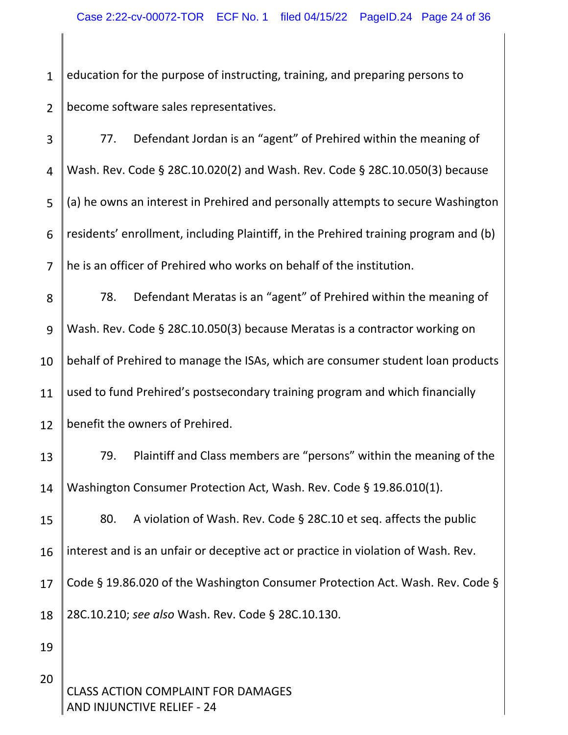1 2 education for the purpose of instructing, training, and preparing persons to become software sales representatives.

3 4 5 6 7 77. Defendant Jordan is an "agent" of Prehired within the meaning of Wash. Rev. Code § 28C.10.020(2) and Wash. Rev. Code § 28C.10.050(3) because (a) he owns an interest in Prehired and personally attempts to secure Washington residents' enrollment, including Plaintiff, in the Prehired training program and (b) he is an officer of Prehired who works on behalf of the institution.

8 9 10 11 12 78. Defendant Meratas is an "agent" of Prehired within the meaning of Wash. Rev. Code § 28C.10.050(3) because Meratas is a contractor working on behalf of Prehired to manage the ISAs, which are consumer student loan products used to fund Prehired's postsecondary training program and which financially benefit the owners of Prehired.

13 14 79. Plaintiff and Class members are "persons" within the meaning of the Washington Consumer Protection Act, Wash. Rev. Code § 19.86.010(1).

15 16 17 18 80. A violation of Wash. Rev. Code § 28C.10 et seq. affects the public interest and is an unfair or deceptive act or practice in violation of Wash. Rev. Code § 19.86.020 of the Washington Consumer Protection Act. Wash. Rev. Code § 28C.10.210; *see also* Wash. Rev. Code § 28C.10.130.

19

20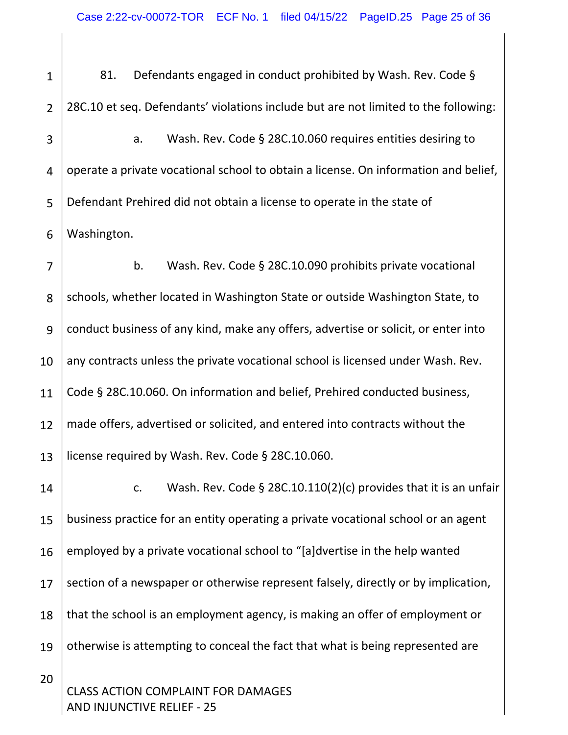1 2 3 4 5 6 81. Defendants engaged in conduct prohibited by Wash. Rev. Code § 28C.10 et seq. Defendants' violations include but are not limited to the following: a. Wash. Rev. Code § 28C.10.060 requires entities desiring to operate a private vocational school to obtain a license. On information and belief, Defendant Prehired did not obtain a license to operate in the state of Washington.

7 8 9 10 11 12 13 b. Wash. Rev. Code § 28C.10.090 prohibits private vocational schools, whether located in Washington State or outside Washington State, to conduct business of any kind, make any offers, advertise or solicit, or enter into any contracts unless the private vocational school is licensed under Wash. Rev. Code § 28C.10.060. On information and belief, Prehired conducted business, made offers, advertised or solicited, and entered into contracts without the license required by Wash. Rev. Code § 28C.10.060.

CLASS ACTION COMPLAINT FOR DAMAGES AND INJUNCTIVE RELIEF ‐ 25 14 15 16 17 18 19 20 c. Wash. Rev. Code  $\S$  28C.10.110(2)(c) provides that it is an unfair business practice for an entity operating a private vocational school or an agent employed by a private vocational school to "[a]dvertise in the help wanted section of a newspaper or otherwise represent falsely, directly or by implication, that the school is an employment agency, is making an offer of employment or otherwise is attempting to conceal the fact that what is being represented are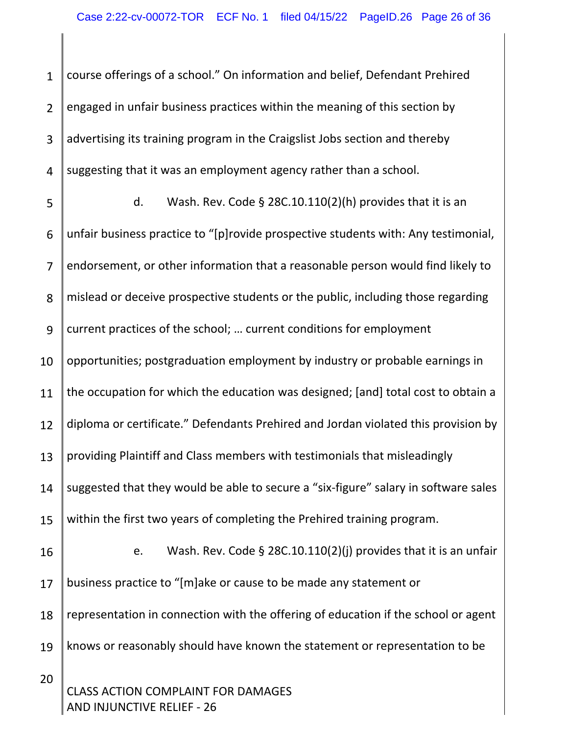1 2 3 4 course offerings of a school." On information and belief, Defendant Prehired engaged in unfair business practices within the meaning of this section by advertising its training program in the Craigslist Jobs section and thereby suggesting that it was an employment agency rather than a school.

CLASS ACTION COMPLAINT FOR DAMAGES AND INJUNCTIVE RELIEF ‐ 26 5 6 7 8 9 10 11 12 13 14 15 16 17 18 19 20 d. Wash. Rev. Code  $\S$  28C.10.110(2)(h) provides that it is an unfair business practice to "[p]rovide prospective students with: Any testimonial, endorsement, or other information that a reasonable person would find likely to mislead or deceive prospective students or the public, including those regarding current practices of the school; … current conditions for employment opportunities; postgraduation employment by industry or probable earnings in the occupation for which the education was designed; [and] total cost to obtain a diploma or certificate." Defendants Prehired and Jordan violated this provision by providing Plaintiff and Class members with testimonials that misleadingly suggested that they would be able to secure a "six-figure" salary in software sales within the first two years of completing the Prehired training program. e. Wash. Rev. Code § 28C.10.110(2)(j) provides that it is an unfair business practice to "[m]ake or cause to be made any statement or representation in connection with the offering of education if the school or agent knows or reasonably should have known the statement or representation to be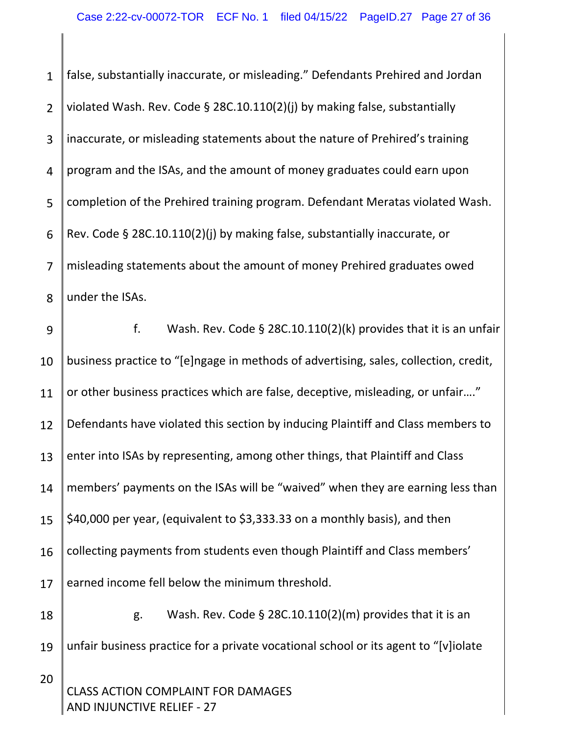CLASS ACTION COMPLAINT FOR DAMAGES AND INJUNCTIVE RELIEF ‐ 27 1 2 3 4 5 6 7 8 9 10 11 12 13 14 15 16 17 18 19 20 false, substantially inaccurate, or misleading." Defendants Prehired and Jordan violated Wash. Rev. Code § 28C.10.110(2)(j) by making false, substantially inaccurate, or misleading statements about the nature of Prehired's training program and the ISAs, and the amount of money graduates could earn upon completion of the Prehired training program. Defendant Meratas violated Wash. Rev. Code § 28C.10.110(2)(j) by making false, substantially inaccurate, or misleading statements about the amount of money Prehired graduates owed under the ISAs. f. Wash. Rev. Code § 28C.10.110(2)(k) provides that it is an unfair business practice to "[e]ngage in methods of advertising, sales, collection, credit, or other business practices which are false, deceptive, misleading, or unfair…." Defendants have violated this section by inducing Plaintiff and Class members to enter into ISAs by representing, among other things, that Plaintiff and Class members' payments on the ISAs will be "waived" when they are earning less than \$40,000 per year, (equivalent to \$3,333.33 on a monthly basis), and then collecting payments from students even though Plaintiff and Class members' earned income fell below the minimum threshold. g. Wash. Rev. Code § 28C.10.110(2)(m) provides that it is an unfair business practice for a private vocational school or its agent to "[v]iolate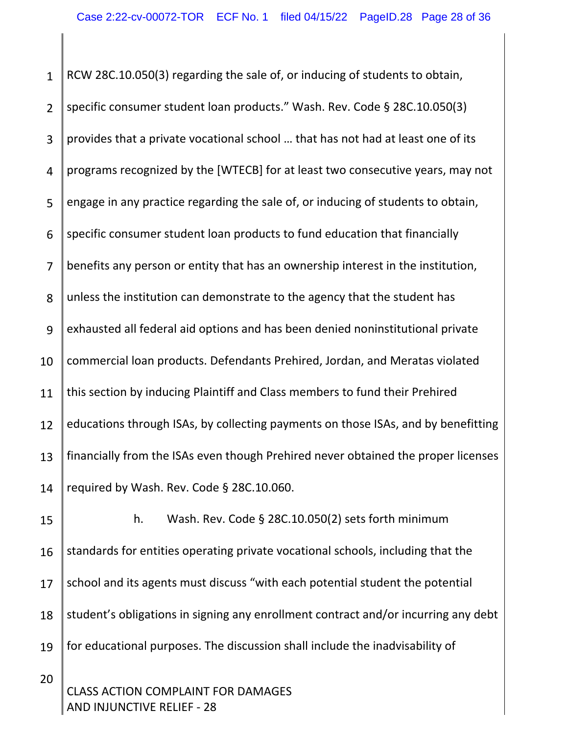1 2 3 4 5 6 7 8 9 10 11 12 13 14 15 16 17 18 RCW 28C.10.050(3) regarding the sale of, or inducing of students to obtain, specific consumer student loan products." Wash. Rev. Code § 28C.10.050(3) provides that a private vocational school … that has not had at least one of its programs recognized by the [WTECB] for at least two consecutive years, may not engage in any practice regarding the sale of, or inducing of students to obtain, specific consumer student loan products to fund education that financially benefits any person or entity that has an ownership interest in the institution, unless the institution can demonstrate to the agency that the student has exhausted all federal aid options and has been denied noninstitutional private commercial loan products. Defendants Prehired, Jordan, and Meratas violated this section by inducing Plaintiff and Class members to fund their Prehired educations through ISAs, by collecting payments on those ISAs, and by benefitting financially from the ISAs even though Prehired never obtained the proper licenses required by Wash. Rev. Code § 28C.10.060. h. Wash. Rev. Code § 28C.10.050(2) sets forth minimum standards for entities operating private vocational schools, including that the school and its agents must discuss "with each potential student the potential student's obligations in signing any enrollment contract and/or incurring any debt for educational purposes. The discussion shall include the inadvisability of

20

19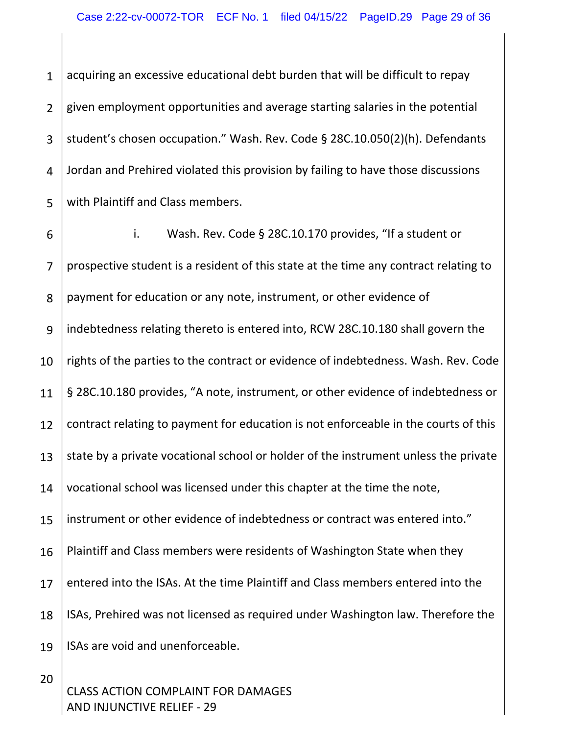1 2 3 4 5 acquiring an excessive educational debt burden that will be difficult to repay given employment opportunities and average starting salaries in the potential student's chosen occupation." Wash. Rev. Code § 28C.10.050(2)(h). Defendants Jordan and Prehired violated this provision by failing to have those discussions with Plaintiff and Class members.

6 7 8 9 10 11 12 13 14 15 16 17 18 19 i. Wash. Rev. Code § 28C.10.170 provides, "If a student or prospective student is a resident of this state at the time any contract relating to payment for education or any note, instrument, or other evidence of indebtedness relating thereto is entered into, RCW 28C.10.180 shall govern the rights of the parties to the contract or evidence of indebtedness. Wash. Rev. Code § 28C.10.180 provides, "A note, instrument, or other evidence of indebtedness or contract relating to payment for education is not enforceable in the courts of this state by a private vocational school or holder of the instrument unless the private vocational school was licensed under this chapter at the time the note, instrument or other evidence of indebtedness or contract was entered into." Plaintiff and Class members were residents of Washington State when they entered into the ISAs. At the time Plaintiff and Class members entered into the ISAs, Prehired was not licensed as required under Washington law. Therefore the ISAs are void and unenforceable.

CLASS ACTION COMPLAINT FOR DAMAGES AND INJUNCTIVE RELIEF ‐ 29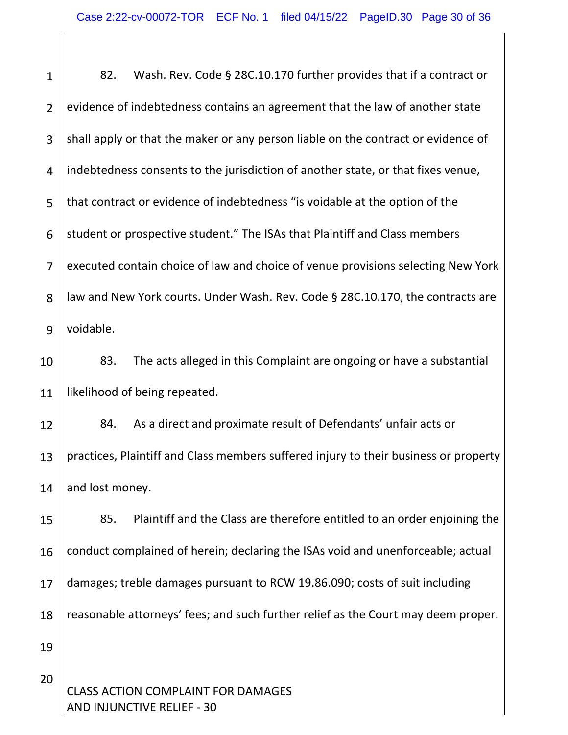| $\mathbf{1}$   | 82.<br>Wash. Rev. Code § 28C.10.170 further provides that if a contract or           |  |  |  |
|----------------|--------------------------------------------------------------------------------------|--|--|--|
| $\overline{2}$ | evidence of indebtedness contains an agreement that the law of another state         |  |  |  |
| 3              | shall apply or that the maker or any person liable on the contract or evidence of    |  |  |  |
| $\overline{4}$ | indebtedness consents to the jurisdiction of another state, or that fixes venue,     |  |  |  |
| 5              | that contract or evidence of indebtedness "is voidable at the option of the          |  |  |  |
| 6              | student or prospective student." The ISAs that Plaintiff and Class members           |  |  |  |
| $\overline{7}$ | executed contain choice of law and choice of venue provisions selecting New York     |  |  |  |
| 8              | law and New York courts. Under Wash. Rev. Code § 28C.10.170, the contracts are       |  |  |  |
| 9              | voidable.                                                                            |  |  |  |
| 10             | The acts alleged in this Complaint are ongoing or have a substantial<br>83.          |  |  |  |
| 11             | likelihood of being repeated.                                                        |  |  |  |
| 12             | As a direct and proximate result of Defendants' unfair acts or<br>84.                |  |  |  |
| 13             | practices, Plaintiff and Class members suffered injury to their business or property |  |  |  |
| 14             | and lost money.                                                                      |  |  |  |
| 15             | Plaintiff and the Class are therefore entitled to an order enjoining the<br>85.      |  |  |  |
| 16             | conduct complained of herein; declaring the ISAs void and unenforceable; actual      |  |  |  |
| 17             | damages; treble damages pursuant to RCW 19.86.090; costs of suit including           |  |  |  |
| 18             | reasonable attorneys' fees; and such further relief as the Court may deem proper.    |  |  |  |
| 19             |                                                                                      |  |  |  |
| 20             | <b>CLASS ACTION COMPLAINT FOR DAMAGES</b><br>AND INJUNCTIVE RELIEF - 30              |  |  |  |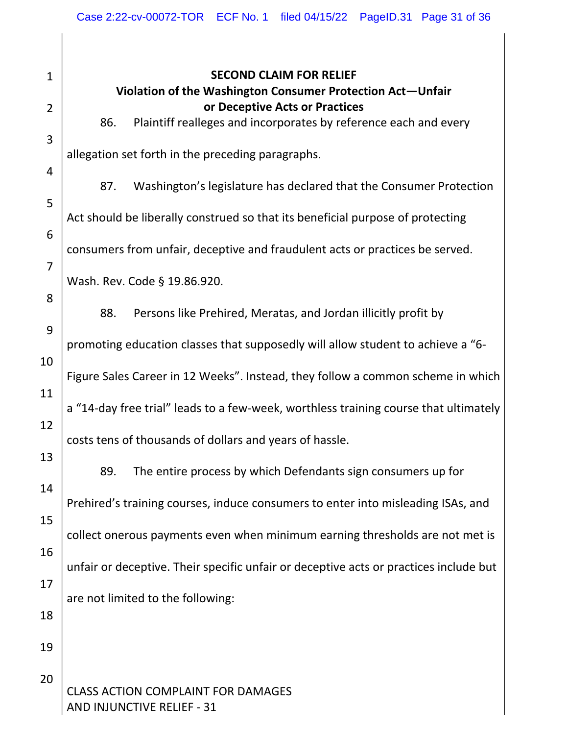| $\mathbf{1}$   | <b>SECOND CLAIM FOR RELIEF</b><br>Violation of the Washington Consumer Protection Act-Unfair              |  |  |  |  |  |
|----------------|-----------------------------------------------------------------------------------------------------------|--|--|--|--|--|
| $\overline{2}$ | or Deceptive Acts or Practices<br>86.<br>Plaintiff realleges and incorporates by reference each and every |  |  |  |  |  |
| 3              | allegation set forth in the preceding paragraphs.                                                         |  |  |  |  |  |
| 4              | Washington's legislature has declared that the Consumer Protection<br>87.                                 |  |  |  |  |  |
| 5              | Act should be liberally construed so that its beneficial purpose of protecting                            |  |  |  |  |  |
| 6              | consumers from unfair, deceptive and fraudulent acts or practices be served.                              |  |  |  |  |  |
| $\overline{7}$ | Wash. Rev. Code § 19.86.920.                                                                              |  |  |  |  |  |
| 8<br>9         | Persons like Prehired, Meratas, and Jordan illicitly profit by<br>88.                                     |  |  |  |  |  |
| 10             | promoting education classes that supposedly will allow student to achieve a "6-                           |  |  |  |  |  |
| 11             | Figure Sales Career in 12 Weeks". Instead, they follow a common scheme in which                           |  |  |  |  |  |
| 12             | a "14-day free trial" leads to a few-week, worthless training course that ultimately                      |  |  |  |  |  |
| 13             | costs tens of thousands of dollars and years of hassle.                                                   |  |  |  |  |  |
| 14             | The entire process by which Defendants sign consumers up for<br>89.                                       |  |  |  |  |  |
| 15             | Prehired's training courses, induce consumers to enter into misleading ISAs, and                          |  |  |  |  |  |
| 16             | collect onerous payments even when minimum earning thresholds are not met is                              |  |  |  |  |  |
| 17             | unfair or deceptive. Their specific unfair or deceptive acts or practices include but                     |  |  |  |  |  |
| 18             | are not limited to the following:                                                                         |  |  |  |  |  |
| 19             |                                                                                                           |  |  |  |  |  |
| 20             | <b>CLASS ACTION COMPLAINT FOR DAMAGES</b><br>AND INJUNCTIVE RELIEF - 31                                   |  |  |  |  |  |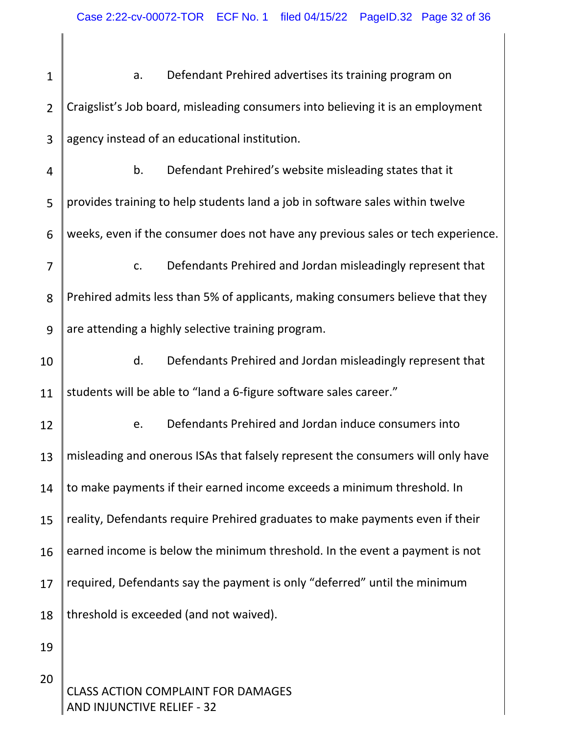CLASS ACTION COMPLAINT FOR DAMAGES 1 2 3 4 5 6 7 8 9 10 11 12 13 14 15 16 17 18 19 20 a. Defendant Prehired advertises its training program on Craigslist's Job board, misleading consumers into believing it is an employment agency instead of an educational institution. b. Defendant Prehired's website misleading states that it provides training to help students land a job in software sales within twelve weeks, even if the consumer does not have any previous sales or tech experience. c. Defendants Prehired and Jordan misleadingly represent that Prehired admits less than 5% of applicants, making consumers believe that they are attending a highly selective training program. d. Defendants Prehired and Jordan misleadingly represent that students will be able to "land a 6‐figure software sales career." e. Defendants Prehired and Jordan induce consumers into misleading and onerous ISAs that falsely represent the consumers will only have to make payments if their earned income exceeds a minimum threshold. In reality, Defendants require Prehired graduates to make payments even if their earned income is below the minimum threshold. In the event a payment is not required, Defendants say the payment is only "deferred" until the minimum threshold is exceeded (and not waived).

AND INJUNCTIVE RELIEF ‐ 32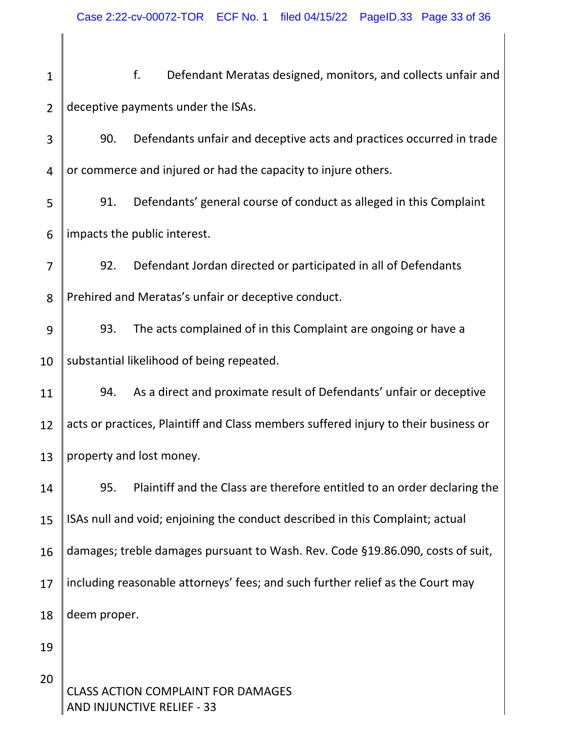| $\mathbf{1}$   |                                                                                | f.<br>Defendant Meratas designed, monitors, and collects unfair and                 |  |  |
|----------------|--------------------------------------------------------------------------------|-------------------------------------------------------------------------------------|--|--|
| $\overline{2}$ | deceptive payments under the ISAs.                                             |                                                                                     |  |  |
| 3              | Defendants unfair and deceptive acts and practices occurred in trade<br>90.    |                                                                                     |  |  |
| 4              |                                                                                | or commerce and injured or had the capacity to injure others.                       |  |  |
| 5              | 91.                                                                            | Defendants' general course of conduct as alleged in this Complaint                  |  |  |
| 6              |                                                                                | impacts the public interest.                                                        |  |  |
| 7              | 92.                                                                            | Defendant Jordan directed or participated in all of Defendants                      |  |  |
| 8              |                                                                                | Prehired and Meratas's unfair or deceptive conduct.                                 |  |  |
| 9              | 93.                                                                            | The acts complained of in this Complaint are ongoing or have a                      |  |  |
| 10             |                                                                                | substantial likelihood of being repeated.                                           |  |  |
| 11             | 94.                                                                            | As a direct and proximate result of Defendants' unfair or deceptive                 |  |  |
| 12             |                                                                                | acts or practices, Plaintiff and Class members suffered injury to their business or |  |  |
| 13             |                                                                                | property and lost money.                                                            |  |  |
| 14             | 95.                                                                            | Plaintiff and the Class are therefore entitled to an order declaring the            |  |  |
| 15             | ISAs null and void; enjoining the conduct described in this Complaint; actual  |                                                                                     |  |  |
| 16             | damages; treble damages pursuant to Wash. Rev. Code §19.86.090, costs of suit, |                                                                                     |  |  |
| 17             | including reasonable attorneys' fees; and such further relief as the Court may |                                                                                     |  |  |
| 18             | deem proper.                                                                   |                                                                                     |  |  |
| 19             |                                                                                |                                                                                     |  |  |
| 20             |                                                                                | <b>CLASS ACTION COMPLAINT FOR DAMAGES</b><br>AND INJUNCTIVE RELIEF - 33             |  |  |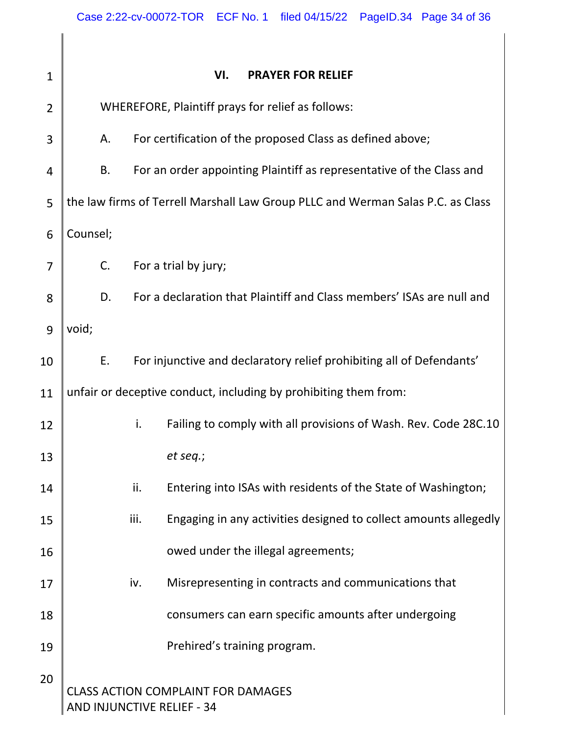| $\mathbf 1$    |                            |      | VI.<br><b>PRAYER FOR RELIEF</b>                                                 |
|----------------|----------------------------|------|---------------------------------------------------------------------------------|
| $\overline{2}$ |                            |      | WHEREFORE, Plaintiff prays for relief as follows:                               |
| 3              | Α.                         |      | For certification of the proposed Class as defined above;                       |
| 4              | В.                         |      | For an order appointing Plaintiff as representative of the Class and            |
| 5              |                            |      | the law firms of Terrell Marshall Law Group PLLC and Werman Salas P.C. as Class |
| 6              | Counsel;                   |      |                                                                                 |
| 7              | C.                         |      | For a trial by jury;                                                            |
| 8              | D.                         |      | For a declaration that Plaintiff and Class members' ISAs are null and           |
| 9              | void;                      |      |                                                                                 |
| 10             | Е.                         |      | For injunctive and declaratory relief prohibiting all of Defendants'            |
| 11             |                            |      | unfair or deceptive conduct, including by prohibiting them from:                |
| 12             |                            | i.   | Failing to comply with all provisions of Wash. Rev. Code 28C.10                 |
| 13             |                            |      | et seq.;                                                                        |
| 14             |                            | ii.  | Entering into ISAs with residents of the State of Washington;                   |
| 15             |                            | iii. | Engaging in any activities designed to collect amounts allegedly                |
| 16             |                            |      | owed under the illegal agreements;                                              |
| 17             |                            | iv.  | Misrepresenting in contracts and communications that                            |
| 18             |                            |      | consumers can earn specific amounts after undergoing                            |
| 19             |                            |      | Prehired's training program.                                                    |
| 20             | AND INJUNCTIVE RELIEF - 34 |      | <b>CLASS ACTION COMPLAINT FOR DAMAGES</b>                                       |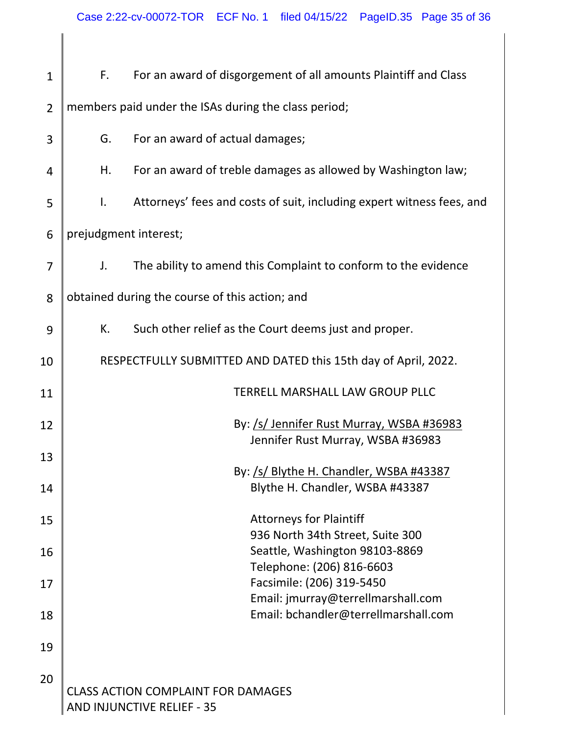| $\mathbf{1}$   | F.                    | For an award of disgorgement of all amounts Plaintiff and Class            |
|----------------|-----------------------|----------------------------------------------------------------------------|
| $\overline{2}$ |                       | members paid under the ISAs during the class period;                       |
| 3              | G.                    | For an award of actual damages;                                            |
| 4              | Н.                    | For an award of treble damages as allowed by Washington law;               |
| 5              | Ι.                    | Attorneys' fees and costs of suit, including expert witness fees, and      |
| 6              | prejudgment interest; |                                                                            |
| 7              | J.                    | The ability to amend this Complaint to conform to the evidence             |
| 8              |                       | obtained during the course of this action; and                             |
| 9              | К.                    | Such other relief as the Court deems just and proper.                      |
| 10             |                       | RESPECTFULLY SUBMITTED AND DATED this 15th day of April, 2022.             |
| 11             |                       | <b>TERRELL MARSHALL LAW GROUP PLLC</b>                                     |
| 12             |                       | By: /s/ Jennifer Rust Murray, WSBA #36983                                  |
| 13             |                       | Jennifer Rust Murray, WSBA #36983                                          |
| 14             |                       | By: /s/ Blythe H. Chandler, WSBA #43387<br>Blythe H. Chandler, WSBA #43387 |
| 15             |                       | <b>Attorneys for Plaintiff</b>                                             |
| 16             |                       | 936 North 34th Street, Suite 300<br>Seattle, Washington 98103-8869         |
| 17             |                       | Telephone: (206) 816-6603<br>Facsimile: (206) 319-5450                     |
| 18             |                       | Email: jmurray@terrellmarshall.com<br>Email: bchandler@terrellmarshall.com |
| 19             |                       |                                                                            |
| 20             |                       | <b>CLASS ACTION COMPLAINT FOR DAMAGES</b><br>AND INJUNCTIVE RELIEF - 35    |